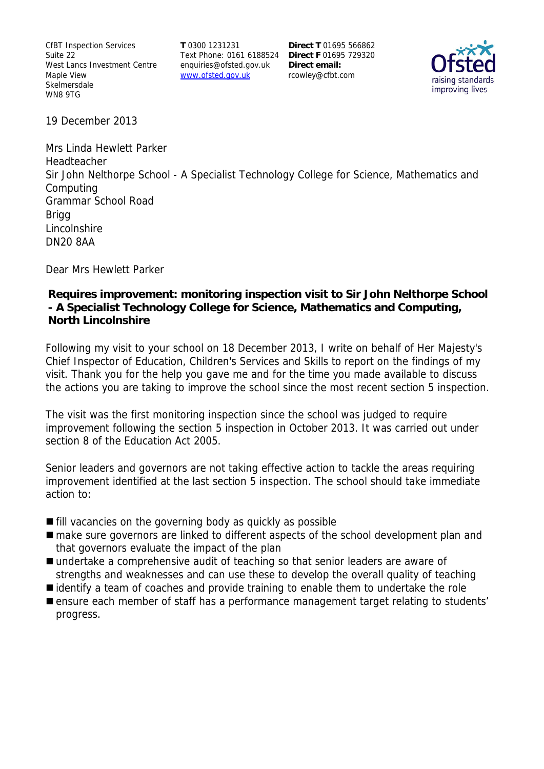CfBT Inspection Services Suite 22 West Lancs Investment Centre Maple View **Skelmersdale** WN8 9TG

**T** 0300 1231231 Text Phone: 0161 6188524 **Direct F** 01695 729320 enquiries@ofsted.gov.uk www.ofsted.gov.uk

**Direct T** 01695 566862 **Direct email:**  rcowley@cfbt.com



19 December 2013

Mrs Linda Hewlett Parker Headteacher Sir John Nelthorpe School - A Specialist Technology College for Science, Mathematics and Computing Grammar School Road **Brigg Lincolnshire** DN20 8AA

Dear Mrs Hewlett Parker

### **Requires improvement: monitoring inspection visit to Sir John Nelthorpe School - A Specialist Technology College for Science, Mathematics and Computing, North Lincolnshire**

Following my visit to your school on 18 December 2013, I write on behalf of Her Majesty's Chief Inspector of Education, Children's Services and Skills to report on the findings of my visit. Thank you for the help you gave me and for the time you made available to discuss the actions you are taking to improve the school since the most recent section 5 inspection.

The visit was the first monitoring inspection since the school was judged to require improvement following the section 5 inspection in October 2013. It was carried out under section 8 of the Education Act 2005.

Senior leaders and governors are not taking effective action to tackle the areas requiring improvement identified at the last section 5 inspection. The school should take immediate action to:

- **fill vacancies on the governing body as quickly as possible**
- make sure governors are linked to different aspects of the school development plan and that governors evaluate the impact of the plan
- undertake a comprehensive audit of teaching so that senior leaders are aware of strengths and weaknesses and can use these to develop the overall quality of teaching
- identify a team of coaches and provide training to enable them to undertake the role
- **E** ensure each member of staff has a performance management target relating to students' progress.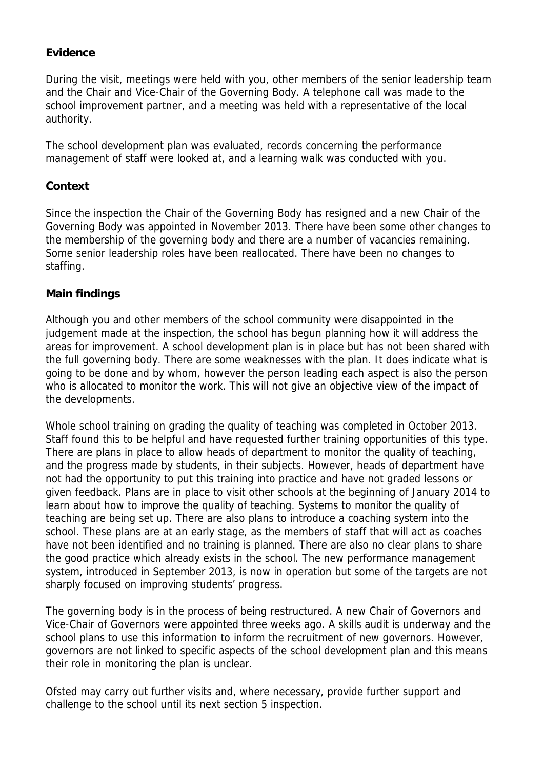## **Evidence**

During the visit, meetings were held with you, other members of the senior leadership team and the Chair and Vice-Chair of the Governing Body. A telephone call was made to the school improvement partner, and a meeting was held with a representative of the local authority.

The school development plan was evaluated, records concerning the performance management of staff were looked at, and a learning walk was conducted with you.

### **Context**

Since the inspection the Chair of the Governing Body has resigned and a new Chair of the Governing Body was appointed in November 2013. There have been some other changes to the membership of the governing body and there are a number of vacancies remaining. Some senior leadership roles have been reallocated. There have been no changes to staffing.

### **Main findings**

Although you and other members of the school community were disappointed in the judgement made at the inspection, the school has begun planning how it will address the areas for improvement. A school development plan is in place but has not been shared with the full governing body. There are some weaknesses with the plan. It does indicate what is going to be done and by whom, however the person leading each aspect is also the person who is allocated to monitor the work. This will not give an objective view of the impact of the developments.

Whole school training on grading the quality of teaching was completed in October 2013. Staff found this to be helpful and have requested further training opportunities of this type. There are plans in place to allow heads of department to monitor the quality of teaching, and the progress made by students, in their subjects. However, heads of department have not had the opportunity to put this training into practice and have not graded lessons or given feedback. Plans are in place to visit other schools at the beginning of January 2014 to learn about how to improve the quality of teaching. Systems to monitor the quality of teaching are being set up. There are also plans to introduce a coaching system into the school. These plans are at an early stage, as the members of staff that will act as coaches have not been identified and no training is planned. There are also no clear plans to share the good practice which already exists in the school. The new performance management system, introduced in September 2013, is now in operation but some of the targets are not sharply focused on improving students' progress.

The governing body is in the process of being restructured. A new Chair of Governors and Vice-Chair of Governors were appointed three weeks ago. A skills audit is underway and the school plans to use this information to inform the recruitment of new governors. However, governors are not linked to specific aspects of the school development plan and this means their role in monitoring the plan is unclear.

Ofsted may carry out further visits and, where necessary, provide further support and challenge to the school until its next section 5 inspection.